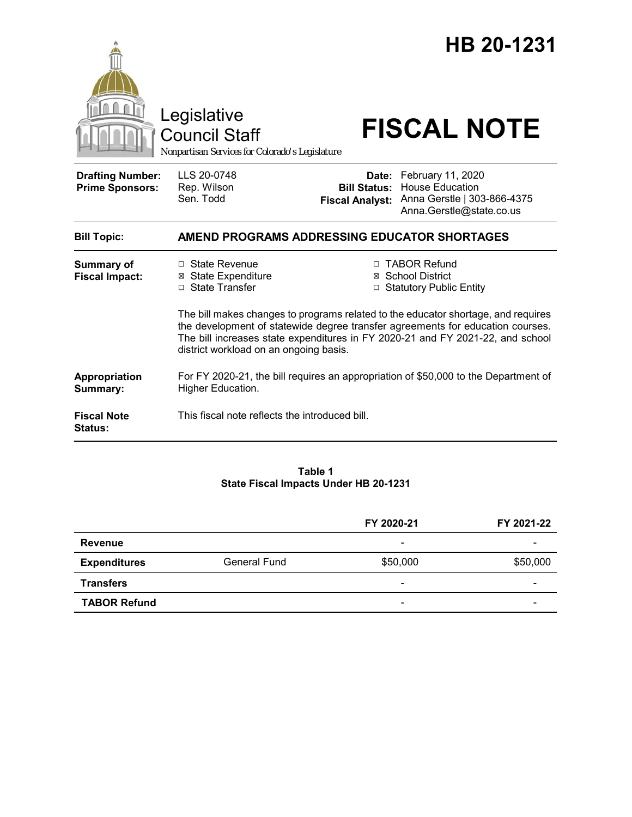|                                                   | Legislative<br><b>Council Staff</b><br>Nonpartisan Services for Colorado's Legislature                                   |                                                        | HB 20-1231<br><b>FISCAL NOTE</b>                                                                                                                                                                                                             |  |  |
|---------------------------------------------------|--------------------------------------------------------------------------------------------------------------------------|--------------------------------------------------------|----------------------------------------------------------------------------------------------------------------------------------------------------------------------------------------------------------------------------------------------|--|--|
| <b>Drafting Number:</b><br><b>Prime Sponsors:</b> | LLS 20-0748<br>Rep. Wilson<br>Sen. Todd                                                                                  | Date:<br><b>Bill Status:</b><br><b>Fiscal Analyst:</b> | February 11, 2020<br><b>House Education</b><br>Anna Gerstle   303-866-4375<br>Anna.Gerstle@state.co.us                                                                                                                                       |  |  |
| <b>Bill Topic:</b>                                | AMEND PROGRAMS ADDRESSING EDUCATOR SHORTAGES                                                                             |                                                        |                                                                                                                                                                                                                                              |  |  |
| Summary of<br><b>Fiscal Impact:</b>               | $\Box$ State Revenue<br><b>⊠ State Expenditure</b><br>□ State Transfer                                                   | $\Box$                                                 | <b>TABOR Refund</b><br>⊠ School District<br>□ Statutory Public Entity<br>The bill makes changes to programs related to the educator shortage, and requires<br>the development of statewide degree transfer agreements for education courses. |  |  |
|                                                   | The bill increases state expenditures in FY 2020-21 and FY 2021-22, and school<br>district workload on an ongoing basis. |                                                        |                                                                                                                                                                                                                                              |  |  |
| Appropriation<br>Summary:                         | For FY 2020-21, the bill requires an appropriation of \$50,000 to the Department of<br>Higher Education.                 |                                                        |                                                                                                                                                                                                                                              |  |  |
| <b>Fiscal Note</b><br><b>Status:</b>              | This fiscal note reflects the introduced bill.                                                                           |                                                        |                                                                                                                                                                                                                                              |  |  |

#### **Table 1 State Fiscal Impacts Under HB 20-1231**

|                     |                     | FY 2020-21               | FY 2021-22 |
|---------------------|---------------------|--------------------------|------------|
| <b>Revenue</b>      |                     | $\overline{\phantom{0}}$ |            |
| <b>Expenditures</b> | <b>General Fund</b> | \$50,000                 | \$50,000   |
| <b>Transfers</b>    |                     | -                        |            |
| <b>TABOR Refund</b> |                     | $\overline{\phantom{a}}$ |            |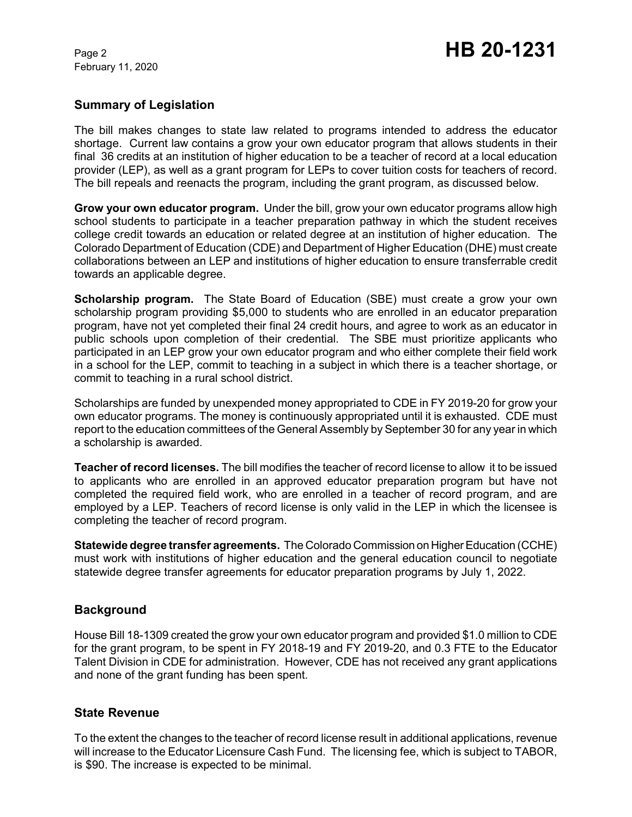February 11, 2020

## **Summary of Legislation**

The bill makes changes to state law related to programs intended to address the educator shortage. Current law contains a grow your own educator program that allows students in their final 36 credits at an institution of higher education to be a teacher of record at a local education provider (LEP), as well as a grant program for LEPs to cover tuition costs for teachers of record. The bill repeals and reenacts the program, including the grant program, as discussed below.

**Grow your own educator program.**Under the bill, grow your own educator programs allow high school students to participate in a teacher preparation pathway in which the student receives college credit towards an education or related degree at an institution of higher education. The Colorado Department of Education (CDE) and Department of Higher Education (DHE) must create collaborations between an LEP and institutions of higher education to ensure transferrable credit towards an applicable degree.

**Scholarship program.** The State Board of Education (SBE) must create a grow your own scholarship program providing \$5,000 to students who are enrolled in an educator preparation program, have not yet completed their final 24 credit hours, and agree to work as an educator in public schools upon completion of their credential. The SBE must prioritize applicants who participated in an LEP grow your own educator program and who either complete their field work in a school for the LEP, commit to teaching in a subject in which there is a teacher shortage, or commit to teaching in a rural school district.

Scholarships are funded by unexpended money appropriated to CDE in FY 2019-20 for grow your own educator programs. The money is continuously appropriated until it is exhausted. CDE must report to the education committees of the General Assembly by September 30 for any year in which a scholarship is awarded.

**Teacher of record licenses.** The bill modifies the teacher of record license to allow it to be issued to applicants who are enrolled in an approved educator preparation program but have not completed the required field work, who are enrolled in a teacher of record program, and are employed by a LEP. Teachers of record license is only valid in the LEP in which the licensee is completing the teacher of record program.

**Statewide degree transfer agreements.** The Colorado Commission on Higher Education (CCHE) must work with institutions of higher education and the general education council to negotiate statewide degree transfer agreements for educator preparation programs by July 1, 2022.

#### **Background**

House Bill 18-1309 created the grow your own educator program and provided \$1.0 million to CDE for the grant program, to be spent in FY 2018-19 and FY 2019-20, and 0.3 FTE to the Educator Talent Division in CDE for administration. However, CDE has not received any grant applications and none of the grant funding has been spent.

#### **State Revenue**

To the extent the changes to the teacher of record license result in additional applications, revenue will increase to the Educator Licensure Cash Fund. The licensing fee, which is subject to TABOR, is \$90. The increase is expected to be minimal.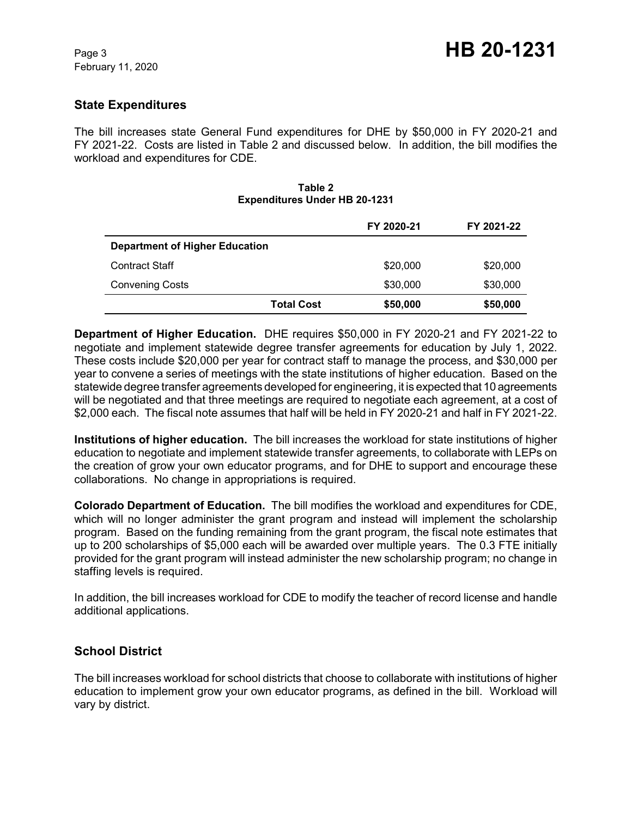## **State Expenditures**

The bill increases state General Fund expenditures for DHE by \$50,000 in FY 2020-21 and FY 2021-22. Costs are listed in Table 2 and discussed below. In addition, the bill modifies the workload and expenditures for CDE.

#### **Table 2 Expenditures Under HB 20-1231**

|                                       | FY 2020-21 | FY 2021-22 |  |  |
|---------------------------------------|------------|------------|--|--|
| <b>Department of Higher Education</b> |            |            |  |  |
| <b>Contract Staff</b>                 | \$20,000   | \$20,000   |  |  |
| <b>Convening Costs</b>                | \$30,000   | \$30,000   |  |  |
| <b>Total Cost</b>                     | \$50,000   | \$50,000   |  |  |

**Department of Higher Education.** DHE requires \$50,000 in FY 2020-21 and FY 2021-22 to negotiate and implement statewide degree transfer agreements for education by July 1, 2022. These costs include \$20,000 per year for contract staff to manage the process, and \$30,000 per year to convene a series of meetings with the state institutions of higher education. Based on the statewide degree transfer agreements developed for engineering, it is expected that 10 agreements will be negotiated and that three meetings are required to negotiate each agreement, at a cost of \$2,000 each. The fiscal note assumes that half will be held in FY 2020-21 and half in FY 2021-22.

**Institutions of higher education.** The bill increases the workload for state institutions of higher education to negotiate and implement statewide transfer agreements, to collaborate with LEPs on the creation of grow your own educator programs, and for DHE to support and encourage these collaborations. No change in appropriations is required.

**Colorado Department of Education.** The bill modifies the workload and expenditures for CDE, which will no longer administer the grant program and instead will implement the scholarship program. Based on the funding remaining from the grant program, the fiscal note estimates that up to 200 scholarships of \$5,000 each will be awarded over multiple years. The 0.3 FTE initially provided for the grant program will instead administer the new scholarship program; no change in staffing levels is required.

In addition, the bill increases workload for CDE to modify the teacher of record license and handle additional applications.

## **School District**

The bill increases workload for school districts that choose to collaborate with institutions of higher education to implement grow your own educator programs, as defined in the bill. Workload will vary by district.